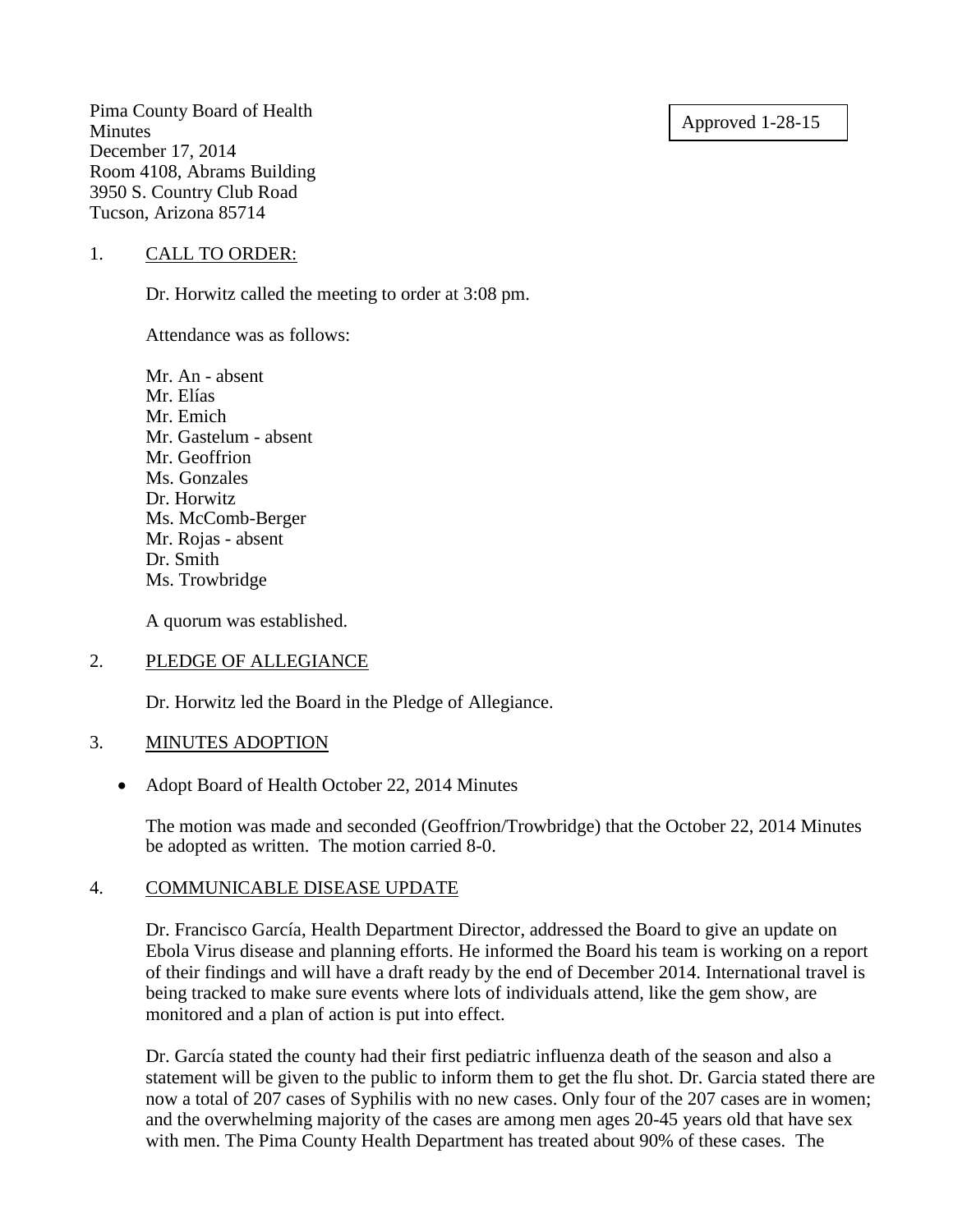Approved 1-28-15

Pima County Board of Health **Minutes** December 17, 2014 Room 4108, Abrams Building 3950 S. Country Club Road Tucson, Arizona 85714

## 1. CALL TO ORDER:

Dr. Horwitz called the meeting to order at 3:08 pm.

Attendance was as follows:

Mr. An - absent Mr. Elías Mr. Emich Mr. Gastelum - absent Mr. Geoffrion Ms. Gonzales Dr. Horwitz Ms. McComb-Berger Mr. Rojas - absent Dr. Smith Ms. Trowbridge

A quorum was established.

### 2. PLEDGE OF ALLEGIANCE

Dr. Horwitz led the Board in the Pledge of Allegiance.

### 3. MINUTES ADOPTION

Adopt Board of Health October 22, 2014 Minutes

The motion was made and seconded (Geoffrion/Trowbridge) that the October 22, 2014 Minutes be adopted as written. The motion carried 8-0.

### 4. COMMUNICABLE DISEASE UPDATE

Dr. Francisco García, Health Department Director, addressed the Board to give an update on Ebola Virus disease and planning efforts. He informed the Board his team is working on a report of their findings and will have a draft ready by the end of December 2014. International travel is being tracked to make sure events where lots of individuals attend, like the gem show, are monitored and a plan of action is put into effect.

Dr. García stated the county had their first pediatric influenza death of the season and also a statement will be given to the public to inform them to get the flu shot. Dr. Garcia stated there are now a total of 207 cases of Syphilis with no new cases. Only four of the 207 cases are in women; and the overwhelming majority of the cases are among men ages 20-45 years old that have sex with men. The Pima County Health Department has treated about 90% of these cases. The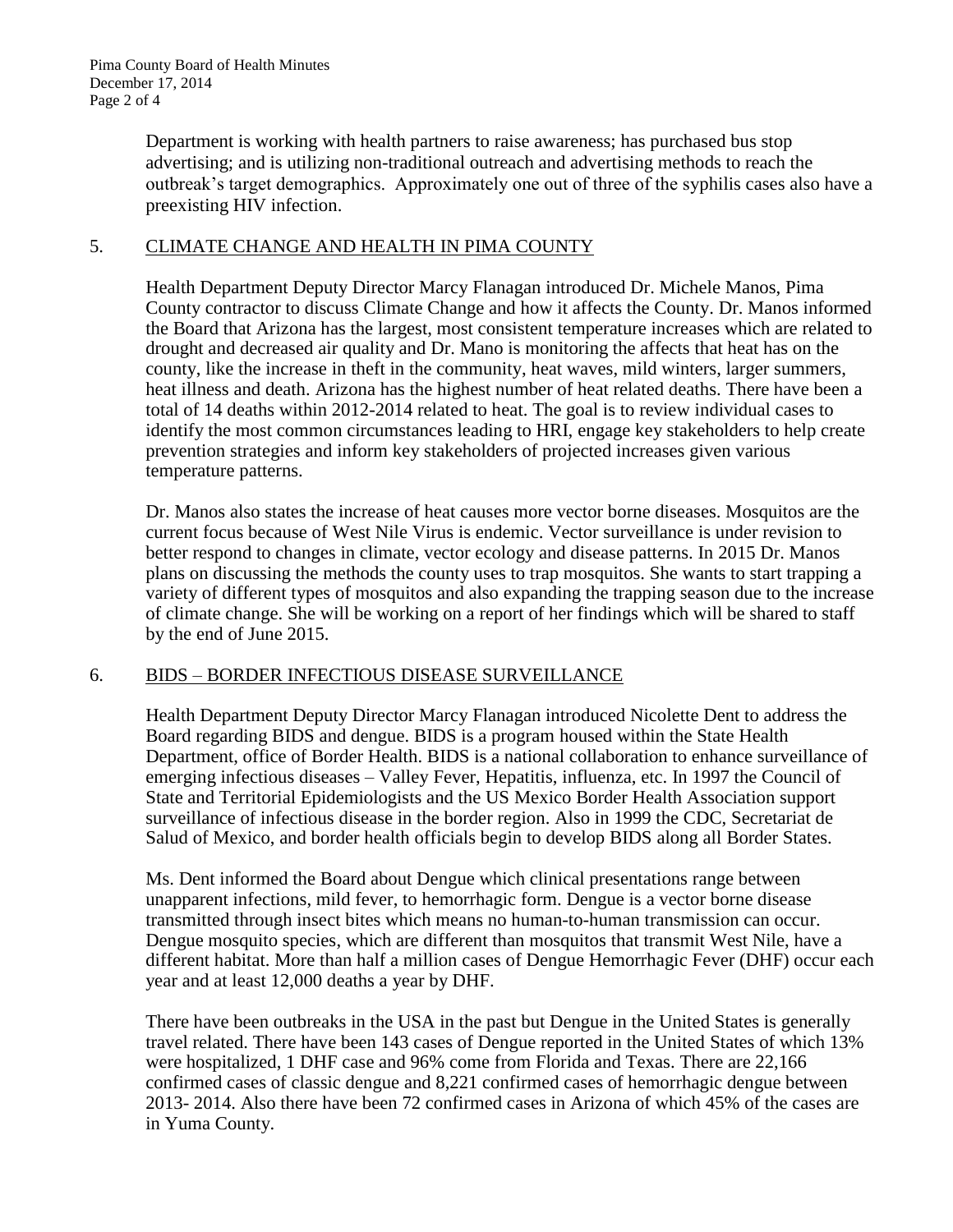Department is working with health partners to raise awareness; has purchased bus stop advertising; and is utilizing non-traditional outreach and advertising methods to reach the outbreak's target demographics. Approximately one out of three of the syphilis cases also have a preexisting HIV infection.

## 5. CLIMATE CHANGE AND HEALTH IN PIMA COUNTY

Health Department Deputy Director Marcy Flanagan introduced Dr. Michele Manos, Pima County contractor to discuss Climate Change and how it affects the County. Dr. Manos informed the Board that Arizona has the largest, most consistent temperature increases which are related to drought and decreased air quality and Dr. Mano is monitoring the affects that heat has on the county, like the increase in theft in the community, heat waves, mild winters, larger summers, heat illness and death. Arizona has the highest number of heat related deaths. There have been a total of 14 deaths within 2012-2014 related to heat. The goal is to review individual cases to identify the most common circumstances leading to HRI, engage key stakeholders to help create prevention strategies and inform key stakeholders of projected increases given various temperature patterns.

Dr. Manos also states the increase of heat causes more vector borne diseases. Mosquitos are the current focus because of West Nile Virus is endemic. Vector surveillance is under revision to better respond to changes in climate, vector ecology and disease patterns. In 2015 Dr. Manos plans on discussing the methods the county uses to trap mosquitos. She wants to start trapping a variety of different types of mosquitos and also expanding the trapping season due to the increase of climate change. She will be working on a report of her findings which will be shared to staff by the end of June 2015.

### 6. BIDS – BORDER INFECTIOUS DISEASE SURVEILLANCE

Health Department Deputy Director Marcy Flanagan introduced Nicolette Dent to address the Board regarding BIDS and dengue. BIDS is a program housed within the State Health Department, office of Border Health. BIDS is a national collaboration to enhance surveillance of emerging infectious diseases – Valley Fever, Hepatitis, influenza, etc. In 1997 the Council of State and Territorial Epidemiologists and the US Mexico Border Health Association support surveillance of infectious disease in the border region. Also in 1999 the CDC, Secretariat de Salud of Mexico, and border health officials begin to develop BIDS along all Border States.

Ms. Dent informed the Board about Dengue which clinical presentations range between unapparent infections, mild fever, to hemorrhagic form. Dengue is a vector borne disease transmitted through insect bites which means no human-to-human transmission can occur. Dengue mosquito species, which are different than mosquitos that transmit West Nile, have a different habitat. More than half a million cases of Dengue Hemorrhagic Fever (DHF) occur each year and at least 12,000 deaths a year by DHF.

There have been outbreaks in the USA in the past but Dengue in the United States is generally travel related. There have been 143 cases of Dengue reported in the United States of which 13% were hospitalized, 1 DHF case and 96% come from Florida and Texas. There are 22,166 confirmed cases of classic dengue and 8,221 confirmed cases of hemorrhagic dengue between 2013- 2014. Also there have been 72 confirmed cases in Arizona of which 45% of the cases are in Yuma County.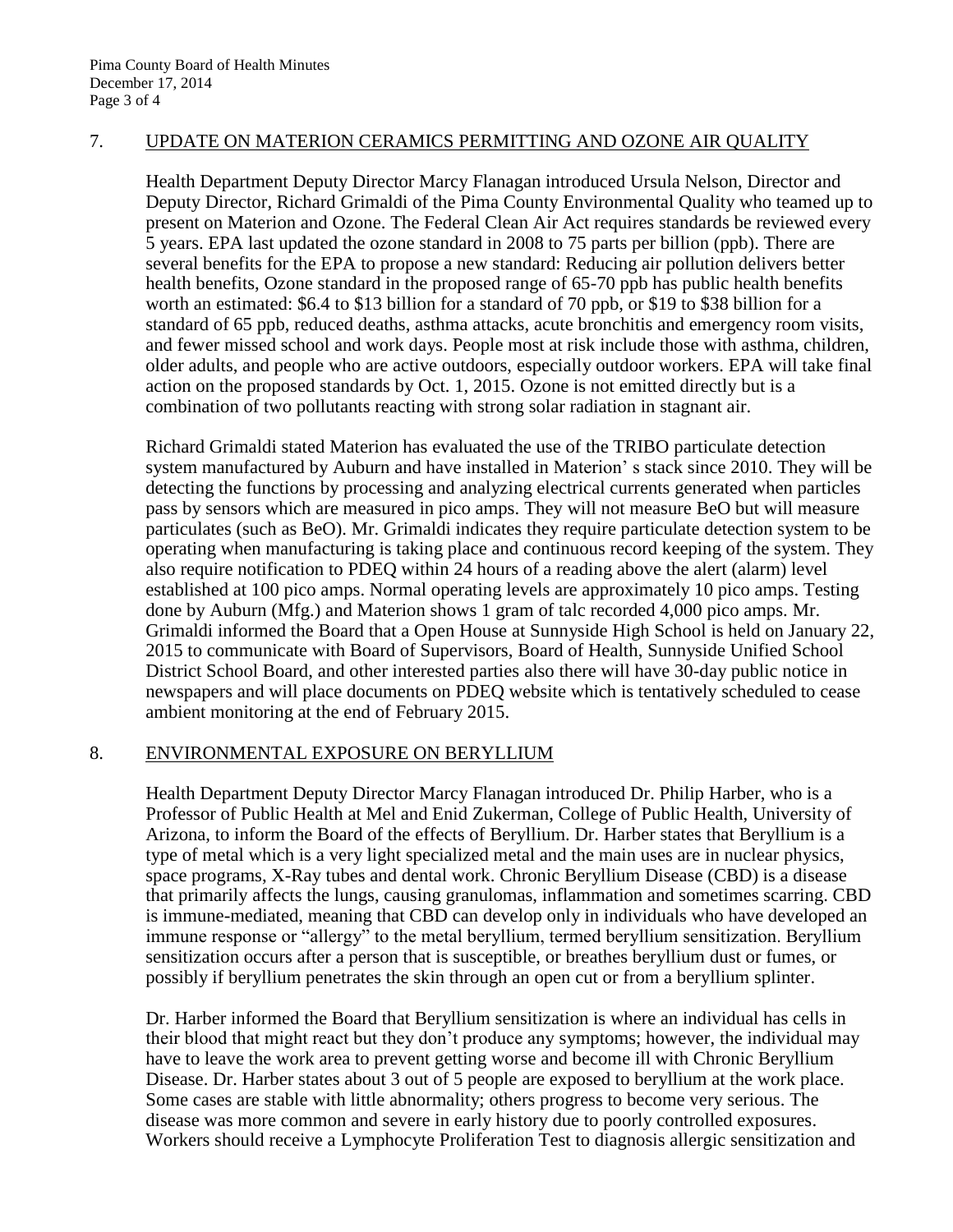## 7. UPDATE ON MATERION CERAMICS PERMITTING AND OZONE AIR QUALITY

Health Department Deputy Director Marcy Flanagan introduced Ursula Nelson, Director and Deputy Director, Richard Grimaldi of the Pima County Environmental Quality who teamed up to present on Materion and Ozone. The Federal Clean Air Act requires standards be reviewed every 5 years. EPA last updated the ozone standard in 2008 to 75 parts per billion (ppb). There are several benefits for the EPA to propose a new standard: Reducing air pollution delivers better health benefits, Ozone standard in the proposed range of 65-70 ppb has public health benefits worth an estimated: \$6.4 to \$13 billion for a standard of 70 ppb, or \$19 to \$38 billion for a standard of 65 ppb, reduced deaths, asthma attacks, acute bronchitis and emergency room visits, and fewer missed school and work days. People most at risk include those with asthma, children, older adults, and people who are active outdoors, especially outdoor workers. EPA will take final action on the proposed standards by Oct. 1, 2015. Ozone is not emitted directly but is a combination of two pollutants reacting with strong solar radiation in stagnant air.

Richard Grimaldi stated Materion has evaluated the use of the TRIBO particulate detection system manufactured by Auburn and have installed in Materion' s stack since 2010. They will be detecting the functions by processing and analyzing electrical currents generated when particles pass by sensors which are measured in pico amps. They will not measure BeO but will measure particulates (such as BeO). Mr. Grimaldi indicates they require particulate detection system to be operating when manufacturing is taking place and continuous record keeping of the system. They also require notification to PDEQ within 24 hours of a reading above the alert (alarm) level established at 100 pico amps. Normal operating levels are approximately 10 pico amps. Testing done by Auburn (Mfg.) and Materion shows 1 gram of talc recorded 4,000 pico amps. Mr. Grimaldi informed the Board that a Open House at Sunnyside High School is held on January 22, 2015 to communicate with Board of Supervisors, Board of Health, Sunnyside Unified School District School Board, and other interested parties also there will have 30-day public notice in newspapers and will place documents on PDEQ website which is tentatively scheduled to cease ambient monitoring at the end of February 2015.

## 8. ENVIRONMENTAL EXPOSURE ON BERYLLIUM

Health Department Deputy Director Marcy Flanagan introduced Dr. Philip Harber, who is a Professor of Public Health at Mel and Enid Zukerman, College of Public Health, University of Arizona, to inform the Board of the effects of Beryllium. Dr. Harber states that Beryllium is a type of metal which is a very light specialized metal and the main uses are in nuclear physics, space programs, X-Ray tubes and dental work. Chronic Beryllium Disease (CBD) is a disease that primarily affects the lungs, causing granulomas, inflammation and sometimes scarring. CBD is immune-mediated, meaning that CBD can develop only in individuals who have developed an immune response or "allergy" to the metal beryllium, termed beryllium sensitization. Beryllium sensitization occurs after a person that is susceptible, or breathes beryllium dust or fumes, or possibly if beryllium penetrates the skin through an open cut or from a beryllium splinter.

Dr. Harber informed the Board that Beryllium sensitization is where an individual has cells in their blood that might react but they don't produce any symptoms; however, the individual may have to leave the work area to prevent getting worse and become ill with Chronic Beryllium Disease. Dr. Harber states about 3 out of 5 people are exposed to beryllium at the work place. Some cases are stable with little abnormality; others progress to become very serious. The disease was more common and severe in early history due to poorly controlled exposures. Workers should receive a Lymphocyte Proliferation Test to diagnosis allergic sensitization and